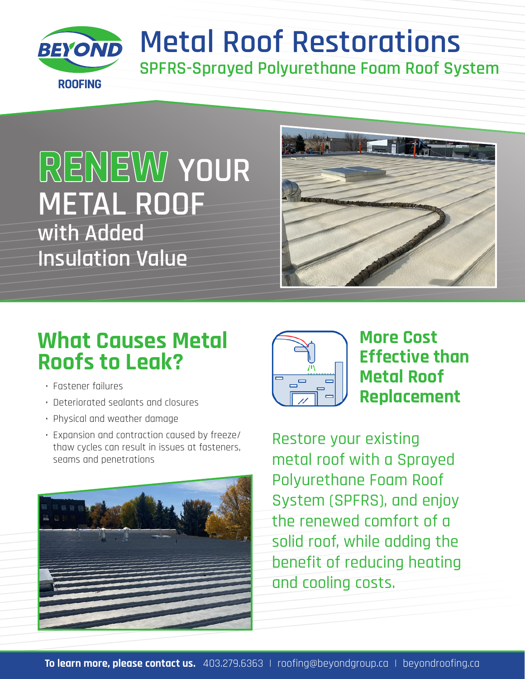

## **Metal Roof Restorations SPFRS-Sprayed Polyurethane Foam Roof System**

# **RENEW YOUR METAL ROOF with Added Insulation Value**



### **What Causes Metal Roofs to Leak?**

- Fastener failures
- Deteriorated sealants and closures
- Physical and weather damage
- Expansion and contraction caused by freeze/ thaw cycles can result in issues at fasteners, seams and penetrations





#### **More Cost Effective than Metal Roof Replacement**

Restore your existing metal roof with a Sprayed Polyurethane Foam Roof System (SPFRS), and enjoy the renewed comfort of a solid roof, while adding the benefit of reducing heating and cooling costs.